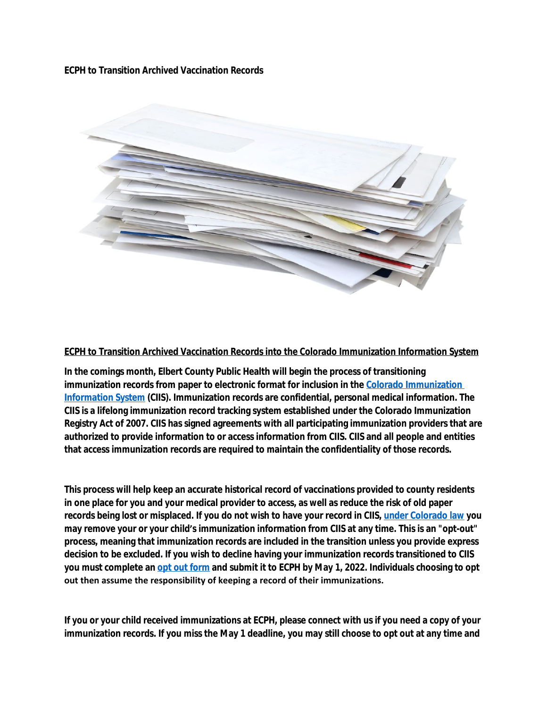**ECPH to Transition Archived Vaccination Records**



**ECPH to Transition Archived Vaccination Records into the Colorado Immunization Information System**

**In the comings month, Elbert County Public Health will begin the process of transitioning immunization records from paper to electronic format for inclusion in the [Colorado Immunization](https://cdphe.colorado.gov/colorado-immunization-information-system-ciis)  Information System (CIIS). Immunization records are confidential, personal medical information. The CIIS is a lifelong immunization record tracking system established under the Colorado Immunization Registry Act of 2007. CIIS has signed agreements with all participating immunization providers that are authorized to provide information to or access information from CIIS. CIIS and all people and entities that access immunization records are required to maintain the confidentiality of those records.**

**This process will help keep an accurate historical record of vaccinations provided to county residents in one place for you and your medical provider to access, as well as reduce the risk of old paper records being lost or misplaced. If you do not wish to have your record in CIIS, [under Colorado law](https://docs.google.com/document/d/1YqCP0tMbZU2ZD4Js-vnA54zOylgWcJI3j8PISLK60Rk/edit) you may remove your or your child's immunization information from CIIS at any time. This is an "opt-out" process, meaning that immunization records are included in the transition unless you provide express decision to be excluded. If you wish to decline having your immunization records transitioned to CIIS you must complete an [opt out form](https://urldefense.proofpoint.com/v2/url?u=https-3A__r20.rs6.net_tn.jsp-3Ff-3D0013Hi6dQ032a8M4ZoXYovC8HfZK-2DDjsYgg2gFTkMIxEI-2Dk1-2DXmRemYz5NblyFEIAn5rid564IWP2f9Nyyt8RKeu8eSSOg1U8DMDYHAt-2Di9wMA0lExuzWdv51wVJOqFFIeFX6WxVDVtVB0u2dixQ5dVelkaokB2Bm-5FTyP0pwtLQUI41iIDto5uDhw-3D-3D-26c-3DxdEOnUtuUufAsRAoS9xYwHP9qoC6m5To8PVaKit1B3ts-2DXNjgUh7-5Fg-3D-3D-26ch-3DCT9j0gPCkAdGNX6mgl2oJrSUoq6ojOVIG3GarENh2cFj-5FLe2-2DNrWqA-3D-3D&d=DwMFaQ&c=euGZstcaTDllvimEN8b7jXrwqOf-v5A_CdpgnVfiiMM&r=NkN81eFrkwri4DkODTgP-cs728KMcpuZ9V4EUbjOV2g&m=1CilXmgDbvLBayfO7SkyXiJMq1OiL2NQgkePxX79MpM&s=tImfu6Yw12SAUDUMkz8R48ToPx8u_MoGy_H-wYhzHaQ&e=) and submit it to ECPH by May 1, 2022. Individuals choosing to opt out then assume the responsibility of keeping a record of their immunizations.** 

**If you or your child received immunizations at ECPH, please connect with us if you need a copy of your immunization records. If you miss the May 1 deadline, you may still choose to opt out at any time and**